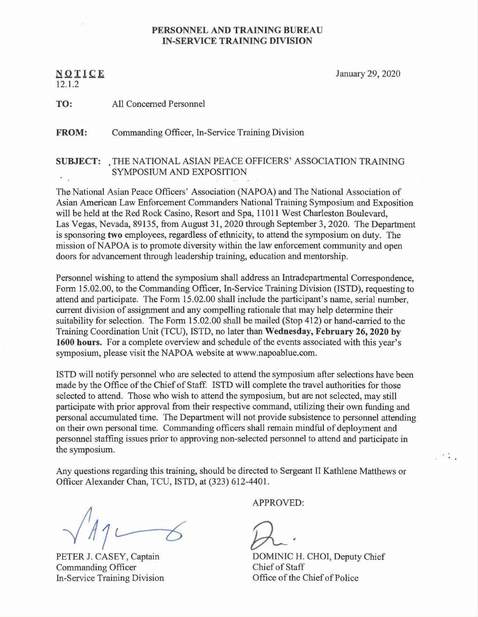## PERSONNEL AND TRAINING BUREAU IN-SERVICE TRAINING DIVISION

12.1.2

 $N$  O T I C E January 29, 2020

TO: All Concerned Personnel

FROM: Commanding Officer, In-Service Training Division

## SUBJECT: ,THE NATIONAL ASIAN PEACE OFFICERS' ASSOCIATION TRAINING SYMPOSIUM AND EXPOSITION

The National Asian Peace Officers' Association (NAPOA) and The National Association of Asian American Law Enforcement Commanders National Training Symposium and Exposition will be held at the Red Rock Casino, Resort and Spa, 11011 West Charleston Boulevard, Las Vegas, Nevada, 89135, from August 31, 2020 through September 3, 2020. The Department is sponsoring two employees, regardless of ethnicity, to attend the symposium on duty. The mission of NAPOA is to promote diversity within the law enforcement community and open doors for advancement through leadership training, education and mentorship.

Personnel wishing to attend the symposium shall address an Intradepartmental Correspondence, Form 15.02.00, to the Commanding Officer, In-Service Training Division (ISTD), requesting to attend and participate. The Form 15.02.00 shall include the participant's name, serial number, current division of assignment and any compelling rationale that may help determine their suitability for selection. The Form 15.02.00 shall be mailed (Stop 412) or hand-carried to the Training Coordination Unit (TCU), ISTD, no later than Wednesday, February 26, 2020 by 1600 hours. For a complete overview and schedule of the events associated with this year's symposium, please visit the NAPOA website at www.napoablue.com.

ISTD will notify personnel who are selected to attend the symposium after selections have been made by the Office of the Chief of Staff. ISTD will complete the travel authorities for those selected to attend. Those who wish to attend the symposium, but are not selected, may still participate with prior approval from their respective command, utilizing their own funding and personal accumulated time. The Department will not provide subsistence to personnel attending on their own personal time. Commanding officers shall remain mindful of deployment and personnel staffing issues prior to approving non-selected personnel to attend and participate in the symposium.

Any questions regarding this training, should be directed to Sergeant II Kathlene Matthews or Officer Alexander Chan, TCU, ISTD, at (323) 612-4401.

PETER J. CASEY, Captain Commanding Officer In-Service Training Division

APPROVED:

DOMINIC H. CHOI, Deputy Chief Chief of Staff Office of the Chief of Police

 $1.12.1$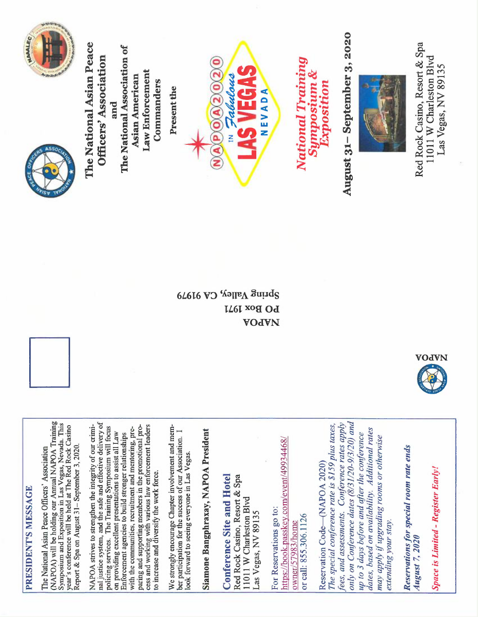

CV 9197 VOJVN



PRESIDENT'S MESSAGE

PRESIDENT'S MESSAGE

(NAPOA) will be holding our Annual NAPOA Training (NAPOA) will be holding our Annual NAPOA Training nal justice system, and the safe and effective delivery of Symposium and Exposition in Las Vegas, Nevada. This<br>year's conference will be held at The Red Rock Casino nal justice system, and the safe and effective delivery of Symposium and Exposition in Las Vegas, Nevada. This NAPOA strives to strengthen the integrity of our crimi-NAPOA strives to strengthen the integrity of our crimiparing and supporting members in the promotional process and working with various law enforcement leaders We strongly encourage Chapter involvement and member participation for the success of our Association. I We strongly encourage Chapter involvement and memyear's conference will beheld at T'he Red Rock Casino policing services. The Training Symposium will focus paring and supporting members in the promotional process and working with various law enforcement leaders policing services. The Training Symposium will focus with the communities, recruitment and mentoring, prewith the communities, recruitment and mentoring, preon providing excellent presentations to assist all Law<br>Enforcement agencies to build stronger relationships ber participation for the success of our Association. I on providing excellent presentations to assist all Law Enforcement agencies to build stronger relationships Report & Spa on August 31-September 3, 2020. Report &Spa on August 31—September 3, 2020. The National Asian Peace Officers' Association The National Asian Peace Officers' Association ook forward to seeing everyone in Las Vegas. look forward to seeing everyone in Las Vegas. to increase and diversify the work force. to increase and diversify the work force.

Siamone Bangphraxay, NAPOA President Siamone Bangphraxay, NAPOA President

**Conference Site and Hotel** Red Rock Casino, Resort & Spa Conference Site and Hotel Red Rock Casino, Resort & Spa 11011 W Charleston Blvd 1011 W Charleston Blvd Las Vegas, NV 89135 Las Vegas, NV 89135

https://book.passkey.com/event/49934468/ https://book. passkey. com/event/49934468/ For Reservations go to: For Reservations go to: or call: 855.306.1126 or call: 855.306.1126 owner/57983/home owner/57983/home

only on Conference dates (8/31/20-9/3/20) and fees, and assessments. Conference rates apply only on Conference dates  $(8/31/20-9/3/20)$  and fees, and assessments. Conference rates apply The special conference rate is \$159 plus taxes, The special conference rate is \$159 plus tares, dates, based on availability. Additional rates dates, based on availability. Additional rates up to 3 days before and after the conference up to 3 days before and after the conference may apply if upgrading rooms or otherwise may apply if upgrading rooms or otherwise Reservation Code (NAPOA 2020) Reservation Code (NAPOA 2020) extending your stay. extending your stay.

Reservations for special room rate ends Reservations for special room rate ends August 7, 2020 August 7, 2020

Space is Limited -Register Early! **Space is Limited - Register Early!**